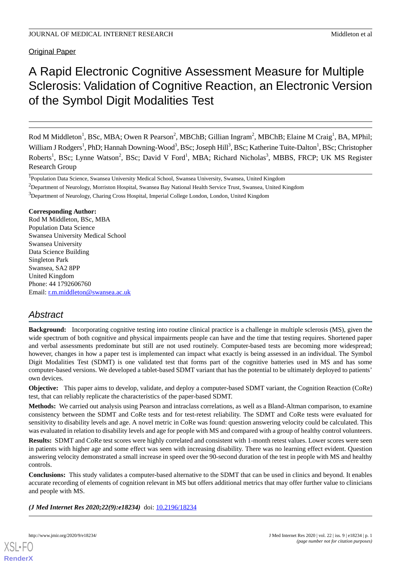Original Paper

# A Rapid Electronic Cognitive Assessment Measure for Multiple Sclerosis: Validation of Cognitive Reaction, an Electronic Version of the Symbol Digit Modalities Test

Rod M Middleton<sup>1</sup>, BSc, MBA; Owen R Pearson<sup>2</sup>, MBChB; Gillian Ingram<sup>2</sup>, MBChB; Elaine M Craig<sup>1</sup>, BA, MPhil; William J Rodgers<sup>1</sup>, PhD; Hannah Downing-Wood<sup>3</sup>, BSc; Joseph Hill<sup>3</sup>, BSc; Katherine Tuite-Dalton<sup>1</sup>, BSc; Christopher Roberts<sup>1</sup>, BSc; Lynne Watson<sup>2</sup>, BSc; David V Ford<sup>1</sup>, MBA; Richard Nicholas<sup>3</sup>, MBBS, FRCP; UK MS Register Research Group

<sup>2</sup>Department of Neurology, Morriston Hospital, Swansea Bay National Health Service Trust, Swansea, United Kingdom

<sup>3</sup>Department of Neurology, Charing Cross Hospital, Imperial College London, London, United Kingdom

**Corresponding Author:**

Rod M Middleton, BSc, MBA Population Data Science Swansea University Medical School Swansea University Data Science Building Singleton Park Swansea, SA2 8PP United Kingdom Phone: 44 1792606760 Email: [r.m.middleton@swansea.ac.uk](mailto:r.m.middleton@swansea.ac.uk)

# *Abstract*

**Background:** Incorporating cognitive testing into routine clinical practice is a challenge in multiple sclerosis (MS), given the wide spectrum of both cognitive and physical impairments people can have and the time that testing requires. Shortened paper and verbal assessments predominate but still are not used routinely. Computer-based tests are becoming more widespread; however, changes in how a paper test is implemented can impact what exactly is being assessed in an individual. The Symbol Digit Modalities Test (SDMT) is one validated test that forms part of the cognitive batteries used in MS and has some computer-based versions. We developed a tablet-based SDMT variant that has the potential to be ultimately deployed to patients' own devices.

**Objective:** This paper aims to develop, validate, and deploy a computer-based SDMT variant, the Cognition Reaction (CoRe) test, that can reliably replicate the characteristics of the paper-based SDMT.

**Methods:** We carried out analysis using Pearson and intraclass correlations, as well as a Bland-Altman comparison, to examine consistency between the SDMT and CoRe tests and for test-retest reliability. The SDMT and CoRe tests were evaluated for sensitivity to disability levels and age. A novel metric in CoRe was found: question answering velocity could be calculated. This was evaluated in relation to disability levels and age for people with MS and compared with a group of healthy control volunteers.

**Results:** SDMT and CoRe test scores were highly correlated and consistent with 1-month retest values. Lower scores were seen in patients with higher age and some effect was seen with increasing disability. There was no learning effect evident. Question answering velocity demonstrated a small increase in speed over the 90-second duration of the test in people with MS and healthy controls.

**Conclusions:** This study validates a computer-based alternative to the SDMT that can be used in clinics and beyond. It enables accurate recording of elements of cognition relevant in MS but offers additional metrics that may offer further value to clinicians and people with MS.

*(J Med Internet Res 2020;22(9):e18234)* doi:  $10.2196/18234$ 



<sup>&</sup>lt;sup>1</sup>Population Data Science, Swansea University Medical School, Swansea University, Swansea, United Kingdom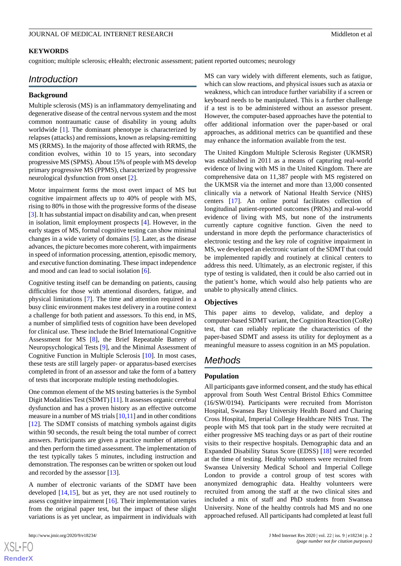### **KEYWORDS**

cognition; multiple sclerosis; eHealth; electronic assessment; patient reported outcomes; neurology

# *Introduction*

#### **Background**

Multiple sclerosis (MS) is an inflammatory demyelinating and degenerative disease of the central nervous system and the most common nontraumatic cause of disability in young adults worldwide [\[1](#page-11-0)]. The dominant phenotype is characterized by relapses (attacks) and remissions, known as relapsing-remitting MS (RRMS). In the majority of those affected with RRMS, the condition evolves, within 10 to 15 years, into secondary progressive MS (SPMS). About 15% of people with MS develop primary progressive MS (PPMS), characterized by progressive neurological dysfunction from onset [[2\]](#page-11-1).

Motor impairment forms the most overt impact of MS but cognitive impairment affects up to 40% of people with MS, rising to 80% in those with the progressive forms of the disease [[3\]](#page-11-2). It has substantial impact on disability and can, when present in isolation, limit employment prospects [\[4](#page-11-3)]. However, in the early stages of MS, formal cognitive testing can show minimal changes in a wide variety of domains [[5\]](#page-11-4). Later, as the disease advances, the picture becomes more coherent, with impairments in speed of information processing, attention, episodic memory, and executive function dominating. These impact independence and mood and can lead to social isolation [[6\]](#page-11-5).

Cognitive testing itself can be demanding on patients, causing difficulties for those with attentional disorders, fatigue, and physical limitations [[7\]](#page-11-6). The time and attention required in a busy clinic environment makes test delivery in a routine context a challenge for both patient and assessors. To this end, in MS, a number of simplified tests of cognition have been developed for clinical use. These include the Brief International Cognitive Assessment for MS [[8\]](#page-11-7), the Brief Repeatable Battery of Neuropsychological Tests [[9\]](#page-11-8), and the Minimal Assessment of Cognitive Function in Multiple Sclerosis [[10\]](#page-11-9). In most cases, these tests are still largely paper- or apparatus-based exercises completed in front of an assessor and take the form of a battery of tests that incorporate multiple testing methodologies.

One common element of the MS testing batteries is the Symbol Digit Modalities Test (SDMT) [[11\]](#page-11-10). It assesses organic cerebral dysfunction and has a proven history as an effective outcome measure in a number of MS trials [[10,](#page-11-9)[11\]](#page-11-10) and in other conditions [[12\]](#page-11-11). The SDMT consists of matching symbols against digits within 90 seconds, the result being the total number of correct answers. Participants are given a practice number of attempts and then perform the timed assessment. The implementation of the test typically takes 5 minutes, including instruction and demonstration. The responses can be written or spoken out loud and recorded by the assessor [[13\]](#page-11-12).

A number of electronic variants of the SDMT have been developed [\[14](#page-11-13),[15\]](#page-11-14), but as yet, they are not used routinely to assess cognitive impairment  $[16]$  $[16]$ . Their implementation varies from the original paper test, but the impact of these slight variations is as yet unclear, as impairment in individuals with

 $XS$  $\cdot$ FC **[RenderX](http://www.renderx.com/)** MS can vary widely with different elements, such as fatigue, which can slow reactions, and physical issues such as ataxia or weakness, which can introduce further variability if a screen or keyboard needs to be manipulated. This is a further challenge if a test is to be administered without an assessor present. However, the computer-based approaches have the potential to offer additional information over the paper-based or oral approaches, as additional metrics can be quantified and these may enhance the information available from the test.

The United Kingdom Multiple Sclerosis Register (UKMSR) was established in 2011 as a means of capturing real-world evidence of living with MS in the United Kingdom. There are comprehensive data on 11,387 people with MS registered on the UKMSR via the internet and more than 13,000 consented clinically via a network of National Health Service (NHS) centers [\[17](#page-11-16)]. An online portal facilitates collection of longitudinal patient-reported outcomes (PROs) and real-world evidence of living with MS, but none of the instruments currently capture cognitive function. Given the need to understand in more depth the performance characteristics of electronic testing and the key role of cognitive impairment in MS, we developed an electronic variant of the SDMT that could be implemented rapidly and routinely at clinical centers to address this need. Ultimately, as an electronic register, if this type of testing is validated, then it could be also carried out in the patient's home, which would also help patients who are unable to physically attend clinics.

#### **Objectives**

This paper aims to develop, validate, and deploy a computer-based SDMT variant, the Cognition Reaction (CoRe) test, that can reliably replicate the characteristics of the paper-based SDMT and assess its utility for deployment as a meaningful measure to assess cognition in an MS population.

# *Methods*

# **Population**

All participants gave informed consent, and the study has ethical approval from South West Central Bristol Ethics Committee (16/SW/0194). Participants were recruited from Morriston Hospital, Swansea Bay University Health Board and Charing Cross Hospital, Imperial College Healthcare NHS Trust. The people with MS that took part in the study were recruited at either progressive MS teaching days or as part of their routine visits to their respective hospitals. Demographic data and an Expanded Disability Status Score (EDSS) [\[18](#page-11-17)] were recorded at the time of testing. Healthy volunteers were recruited from Swansea University Medical School and Imperial College London to provide a control group of test scores with anonymized demographic data. Healthy volunteers were recruited from among the staff at the two clinical sites and included a mix of staff and PhD students from Swansea University. None of the healthy controls had MS and no one approached refused. All participants had completed at least full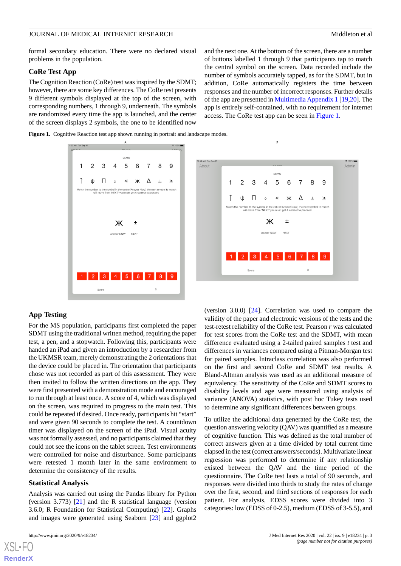formal secondary education. There were no declared visual problems in the population.

# **CoRe Test App**

The Cognition Reaction (CoRe) test was inspired by the SDMT; however, there are some key differences. The CoRe test presents 9 different symbols displayed at the top of the screen, with corresponding numbers, 1 through 9, underneath. The symbols are randomized every time the app is launched, and the center of the screen displays 2 symbols, the one to be identified now

and the next one. At the bottom of the screen, there are a number of buttons labelled 1 through 9 that participants tap to match the central symbol on the screen. Data recorded include the number of symbols accurately tapped, as for the SDMT, but in addition, CoRe automatically registers the time between responses and the number of incorrect responses. Further details of the app are presented in [Multimedia Appendix 1](#page-11-18) [\[19](#page-11-19),[20\]](#page-11-20). The app is entirely self-contained, with no requirement for internet access. The CoRe test app can be seen in [Figure 1](#page-2-0).

<span id="page-2-0"></span>Figure 1. Cognitive Reaction test app shown running in portrait and landscape modes.



### **App Testing**

For the MS population, participants first completed the paper SDMT using the traditional written method, requiring the paper test, a pen, and a stopwatch. Following this, participants were handed an iPad and given an introduction by a researcher from the UKMSR team, merely demonstrating the 2 orientations that the device could be placed in. The orientation that participants chose was not recorded as part of this assessment. They were then invited to follow the written directions on the app. They were first presented with a demonstration mode and encouraged to run through at least once. A score of 4, which was displayed on the screen, was required to progress to the main test. This could be repeated if desired. Once ready, participants hit "start" and were given 90 seconds to complete the test. A countdown timer was displayed on the screen of the iPad. Visual acuity was not formally assessed, and no participants claimed that they could not see the icons on the tablet screen. Test environments were controlled for noise and disturbance. Some participants were retested 1 month later in the same environment to determine the consistency of the results.

#### **Statistical Analysis**

Analysis was carried out using the Pandas library for Python (version 3.773) [[21\]](#page-12-0) and the R statistical language (version 3.6.0; R Foundation for Statistical Computing) [\[22](#page-12-1)]. Graphs and images were generated using Seaborn [\[23](#page-12-2)] and ggplot2

[XSL](http://www.w3.org/Style/XSL)•FO **[RenderX](http://www.renderx.com/)**

(version 3.0.0) [[24\]](#page-12-3). Correlation was used to compare the validity of the paper and electronic versions of the tests and the test-retest reliability of the CoRe test. Pearson *r* was calculated for test scores from the CoRe test and the SDMT, with mean difference evaluated using a 2-tailed paired samples *t* test and differences in variances compared using a Pitman-Morgan test for paired samples. Intraclass correlation was also performed on the first and second CoRe and SDMT test results. A Bland-Altman analysis was used as an additional measure of equivalency. The sensitivity of the CoRe and SDMT scores to disability levels and age were measured using analysis of variance (ANOVA) statistics, with post hoc Tukey tests used to determine any significant differences between groups.

To utilize the additional data generated by the CoRe test, the question answering velocity (QAV) was quantified as a measure of cognitive function. This was defined as the total number of correct answers given at a time divided by total current time elapsed in the test (correct answers/seconds). Multivariate linear regression was performed to determine if any relationship existed between the QAV and the time period of the questionnaire. The CoRe test lasts a total of 90 seconds, and responses were divided into thirds to study the rates of change over the first, second, and third sections of responses for each patient. For analysis, EDSS scores were divided into 3 categories: low (EDSS of 0-2.5), medium (EDSS of 3-5.5), and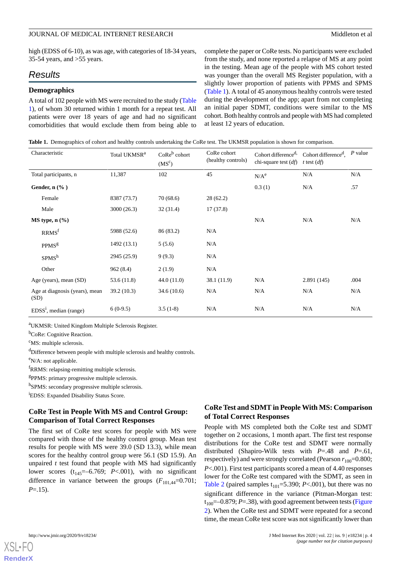high (EDSS of 6-10), as was age, with categories of 18-34 years, 35-54 years, and >55 years.

# *Results*

### **Demographics**

A total of 102 people with MS were recruited to the study [\(Table](#page-3-0) [1\)](#page-3-0), of whom 30 returned within 1 month for a repeat test. All patients were over 18 years of age and had no significant comorbidities that would exclude them from being able to

complete the paper or CoRe tests. No participants were excluded from the study, and none reported a relapse of MS at any point in the testing. Mean age of the people with MS cohort tested was younger than the overall MS Register population, with a slightly lower proportion of patients with PPMS and SPMS ([Table 1\)](#page-3-0). A total of 45 anonymous healthy controls were tested during the development of the app; apart from not completing an initial paper SDMT, conditions were similar to the MS cohort. Both healthy controls and people with MS had completed at least 12 years of education.

<span id="page-3-0"></span>**Table 1.** Demographics of cohort and healthy controls undertaking the CoRe test. The UKMSR population is shown for comparison.

| Characteristic                         | Total UKMSR <sup>a</sup> | $\text{CoRe}^b$ cohort<br>$(MS^c)$ | CoRe cohort<br>(healthy controls) | Cohort difference <sup>d,</sup><br>chi-square test $(df)$ | Cohort difference <sup>d</sup> ,<br>t test $(df)$ | $P$ value |
|----------------------------------------|--------------------------|------------------------------------|-----------------------------------|-----------------------------------------------------------|---------------------------------------------------|-----------|
| Total participants, n                  | 11,387                   | 102                                | 45                                | N/A <sup>e</sup>                                          | N/A                                               | N/A       |
| Gender, $n$ $%$ )                      |                          |                                    |                                   | 0.3(1)                                                    | N/A                                               | .57       |
| Female                                 | 8387 (73.7)              | 70(68.6)                           | 28(62.2)                          |                                                           |                                                   |           |
| Male                                   | 3000 (26.3)              | 32(31.4)                           | 17(37.8)                          |                                                           |                                                   |           |
| $MS$ type, $n$ $%$                     |                          |                                    |                                   | N/A                                                       | N/A                                               | N/A       |
| RRMS <sup>f</sup>                      | 5988 (52.6)              | 86 (83.2)                          | N/A                               |                                                           |                                                   |           |
| <b>PPMS</b> <sup>g</sup>               | 1492(13.1)               | 5(5.6)                             | N/A                               |                                                           |                                                   |           |
| SPMS <sup>h</sup>                      | 2945 (25.9)              | 9(9.3)                             | N/A                               |                                                           |                                                   |           |
| Other                                  | 962(8.4)                 | 2(1.9)                             | N/A                               |                                                           |                                                   |           |
| Age (years), mean (SD)                 | 53.6(11.8)               | 44.0(11.0)                         | 38.1 (11.9)                       | N/A                                                       | 2.891(145)                                        | .004      |
| Age at diagnosis (years), mean<br>(SD) | 39.2 (10.3)              | 34.6(10.6)                         | N/A                               | N/A                                                       | N/A                                               | N/A       |
| $EDSS1$ , median (range)               | $6(0-9.5)$               | $3.5(1-8)$                         | N/A                               | N/A                                                       | N/A                                               | N/A       |

<sup>a</sup>UKMSR: United Kingdom Multiple Sclerosis Register.

<sup>b</sup>CoRe: Cognitive Reaction.

<sup>c</sup>MS: multiple sclerosis.

<sup>d</sup>Difference between people with multiple sclerosis and healthy controls.

<sup>e</sup>N/A: not applicable.

<sup>f</sup>RRMS: relapsing-remitting multiple sclerosis.

g PPMS: primary progressive multiple sclerosis.

h<sub>SPMS</sub>: secondary progressive multiple sclerosis.

<sup>i</sup>EDSS: Expanded Disability Status Score.

# **CoRe Test in People With MS and Control Group: Comparison of Total Correct Responses**

The first set of CoRe test scores for people with MS were compared with those of the healthy control group. Mean test results for people with MS were 39.0 (SD 13.3), while mean scores for the healthy control group were 56.1 (SD 15.9). An unpaired *t* test found that people with MS had significantly lower scores  $(t_{145}=-6.769; P<.001)$ , with no significant difference in variance between the groups  $(F_{101,44}=0.701)$ ; *P*=.15).

# **CoRe Test and SDMT in People With MS: Comparison of Total Correct Responses**

People with MS completed both the CoRe test and SDMT together on 2 occasions, 1 month apart. The first test response distributions for the CoRe test and SDMT were normally distributed (Shapiro-Wilk tests with *P*=.48 and *P*=.61, respectively) and were strongly correlated (Pearson  $r_{100}=0.800$ ; *P*<.001). First test participants scored a mean of 4.40 responses lower for the CoRe test compared with the SDMT, as seen in [Table 2](#page-4-0) (paired samples  $t_{101} = 5.390$ ; *P*<.001), but there was no significant difference in the variance (Pitman-Morgan test:  $t_{100}$ =–0.879; *P*=.38), with good agreement between tests [\(Figure](#page-4-1) [2\)](#page-4-1). When the CoRe test and SDMT were repeated for a second time, the mean CoRe test score was not significantly lower than

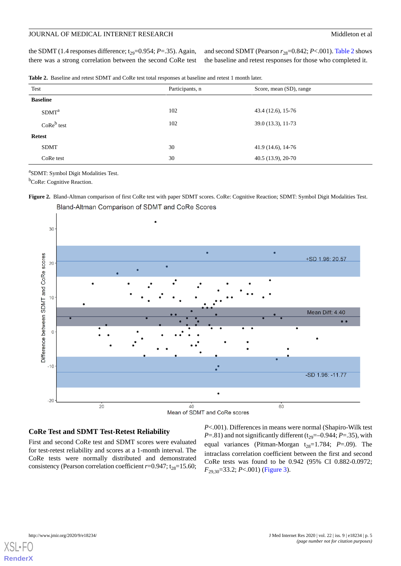the SDMT (1.4 responses difference;  $t_{29}=0.954$ ; *P*=.35). Again, there was a strong correlation between the second CoRe test and second SDMT (Pearson  $r_{28}=0.842; P<.001$ ). [Table 2](#page-4-0) shows the baseline and retest responses for those who completed it.

<span id="page-4-0"></span>**Table 2.** Baseline and retest SDMT and CoRe test total responses at baseline and retest 1 month later.

| Test                              | Participants, n | Score, mean (SD), range |  |
|-----------------------------------|-----------------|-------------------------|--|
| <b>Baseline</b>                   |                 |                         |  |
| SDMT <sup>a</sup>                 | 102             | 43.4 (12.6), 15-76      |  |
| $\mathrm{CoRe}^{\mathrm{b}}$ test | 102             | 39.0 (13.3), 11-73      |  |
| <b>Retest</b>                     |                 |                         |  |
| <b>SDMT</b>                       | 30              | $41.9(14.6), 14-76$     |  |
| CoRe test                         | 30              | $40.5(13.9), 20-70$     |  |

a SDMT: Symbol Digit Modalities Test.

<span id="page-4-1"></span><sup>b</sup>CoRe: Cognitive Reaction.

**Figure 2.** Bland-Altman comparison of first CoRe test with paper SDMT scores. CoRe: Cognitive Reaction; SDMT: Symbol Digit Modalities Test.



Bland-Altman Comparison of SDMT and CoRe Scores

# **CoRe Test and SDMT Test-Retest Reliability**

First and second CoRe test and SDMT scores were evaluated for test-retest reliability and scores at a 1-month interval. The CoRe tests were normally distributed and demonstrated consistency (Pearson correlation coefficient  $r=0.947$ ; t<sub>28</sub>=15.60;

*P*<.001). Differences in means were normal (Shapiro-Wilk test  $P = .81$ ) and not significantly different ( $t_{29} = -0.944$ ;  $P = .35$ ), with equal variances (Pitman-Morgan  $t_{28}=1.784$ ; *P*=.09). The intraclass correlation coefficient between the first and second CoRe tests was found to be 0.942 (95% CI 0.882-0.0972; *F*29,30=33.2; *P*<.001) [\(Figure 3\)](#page-5-0).

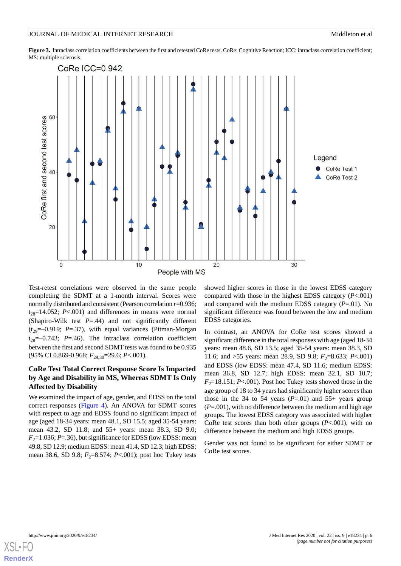<span id="page-5-0"></span>**Figure 3.** Intraclass correlation coefficients between the first and retested CoRe tests. CoRe: Cognitive Reaction; ICC: intraclass correlation coefficient; MS: multiple sclerosis.



Test-retest correlations were observed in the same people completing the SDMT at a 1-month interval. Scores were normally distributed and consistent (Pearson correlation *r*=0.936;  $t_{28}=14.052$ ; *P*<.001) and differences in means were normal (Shapiro-Wilk test  $P = .44$ ) and not significantly different  $(t_{29}=-0.919; P=.37)$ , with equal variances (Pitman-Morgan  $t_{28}=-0.743$ ; *P*=.46). The intraclass correlation coefficient between the first and second SDMT tests was found to be 0.935 (95% CI 0.869-0.968;  $F_{29,30}$ =29.6; *P*<.001).

# **CoRe Test Total Correct Response Score Is Impacted by Age and Disability in MS, Whereas SDMT Is Only Affected by Disability**

We examined the impact of age, gender, and EDSS on the total correct responses [\(Figure 4](#page-6-0)). An ANOVA for SDMT scores with respect to age and EDSS found no significant impact of age (aged 18-34 years: mean 48.1, SD 15.5; aged 35-54 years: mean 43.2, SD 11.8; and 55+ years: mean 38.3, SD 9.0;  $F_2$ =1.036; *P*=.36), but significance for EDSS (low EDSS: mean 49.8, SD 12.9; medium EDSS: mean 41.4, SD 12.3; high EDSS: mean 38.6, SD 9.8;  $F_2$ =8.574; *P*<.001); post hoc Tukey tests

showed higher scores in those in the lowest EDSS category compared with those in the highest EDSS category (*P*<.001) and compared with the medium EDSS category (*P*=.01). No significant difference was found between the low and medium EDSS categories*.*

In contrast, an ANOVA for CoRe test scores showed a significant difference in the total responses with age (aged 18-34 years: mean 48.6, SD 13.5; aged 35-54 years: mean 38.3, SD 11.6; and >55 years: mean 28.9, SD 9.8;  $F_2$ =8.633;  $P < .001$ ) and EDSS (low EDSS: mean 47.4, SD 11.6; medium EDSS: mean 36.8, SD 12.7; high EDSS: mean 32.1, SD 10.7;  $F_2$ =18.151; *P*<.001). Post hoc Tukey tests showed those in the age group of 18 to 34 years had significantly higher scores than those in the 34 to 54 years  $(P=.01)$  and 55+ years group (*P*=.001), with no difference between the medium and high age groups. The lowest EDSS category was associated with higher CoRe test scores than both other groups (*P*<.001), with no difference between the medium and high EDSS groups.

Gender was not found to be significant for either SDMT or CoRe test scores.

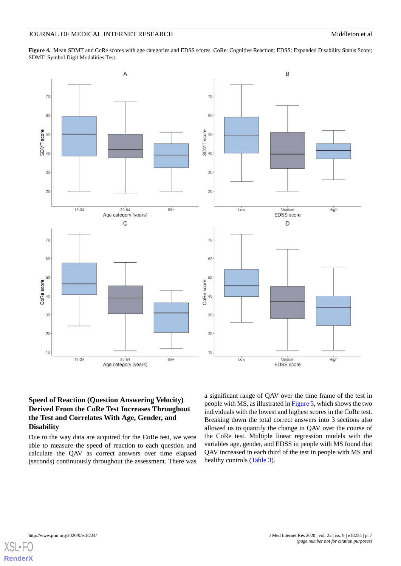<span id="page-6-0"></span>**Figure 4.** Mean SDMT and CoRe scores with age categories and EDSS scores. CoRe: Cognitive Reaction; EDSS: Expanded Disability Status Score; SDMT: Symbol Digit Modalities Test.



# **Speed of Reaction (Question Answering Velocity) Derived From the CoRe Test Increases Throughout the Test and Correlates With Age, Gender, and Disability**

Due to the way data are acquired for the CoRe test, we were able to measure the speed of reaction to each question and calculate the QAV as correct answers over time elapsed (seconds) continuously throughout the assessment. There was

a significant range of QAV over the time frame of the test in people with MS, as illustrated in [Figure 5](#page-7-0), which shows the two individuals with the lowest and highest scores in the CoRe test. Breaking down the total correct answers into 3 sections also allowed us to quantify the change in QAV over the course of the CoRe test. Multiple linear regression models with the variables age, gender, and EDSS in people with MS found that QAV increased in each third of the test in people with MS and healthy controls ([Table 3](#page-7-1)).

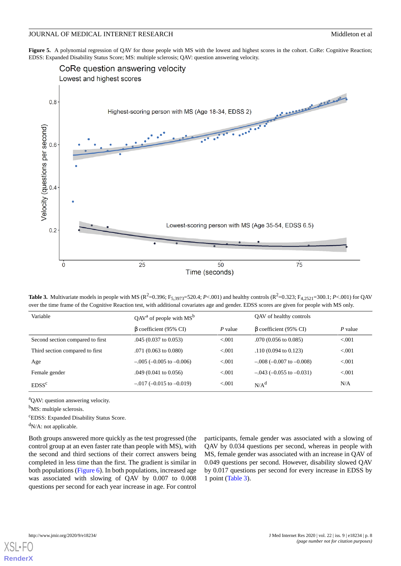<span id="page-7-0"></span>**Figure 5.** A polynomial regression of QAV for those people with MS with the lowest and highest scores in the cohort. CoRe: Cognitive Reaction; EDSS: Expanded Disability Status Score; MS: multiple sclerosis; QAV: question answering velocity.



<span id="page-7-1"></span>**Table 3.** Multivariate models in people with MS ( $R^2$ =0.396;  $F_{5,3973}$ =520.4; *P*<.001) and healthy controls ( $R^2$ =0.323;  $F_{4,2521}$ =300.1; *P*<.001) for QAV over the time frame of the Cognitive Reaction test, with additional covariates age and gender. EDSS scores are given for people with MS only.

| Variable                         | $QAVa$ of people with $MSb$     |         | OAV of healthy controls         |         |
|----------------------------------|---------------------------------|---------|---------------------------------|---------|
|                                  | $\beta$ coefficient (95% CI)    | P value | $\beta$ coefficient (95% CI)    | P value |
| Second section compared to first | $.045(0.037 \text{ to } 0.053)$ | < 0.001 | $.070(0.056 \text{ to } 0.085)$ | < 0.001 |
| Third section compared to first  | $.071(0.063 \text{ to } 0.080)$ | < 0.001 | $.110(0.094 \text{ to } 0.123)$ | < 0.001 |
| Age                              | $-.005$ (-0.005 to -0.006)      | < 0.001 | $-.008 (-0.007$ to $-0.008$ )   | < 0.001 |
| Female gender                    | $.049$ (0.041 to 0.056)         | < 0.001 | $-.043$ (-0.055 to -0.031)      | < 0.001 |
| EDSS <sup>c</sup>                | $-.017$ (-0.015 to -0.019)      | < 0.01  | N/A <sup>d</sup>                | N/A     |

<sup>a</sup>QAV: question answering velocity.

<sup>b</sup>MS: multiple sclerosis.

<sup>c</sup>EDSS: Expanded Disability Status Score.

 $d_{N/A}$ : not applicable.

Both groups answered more quickly as the test progressed (the control group at an even faster rate than people with MS), with the second and third sections of their correct answers being completed in less time than the first. The gradient is similar in both populations ([Figure 6\)](#page-8-0). In both populations, increased age was associated with slowing of QAV by 0.007 to 0.008 questions per second for each year increase in age. For control

participants, female gender was associated with a slowing of QAV by 0.034 questions per second, whereas in people with MS, female gender was associated with an increase in QAV of 0.049 questions per second. However, disability slowed QAV by 0.017 questions per second for every increase in EDSS by 1 point ([Table 3\)](#page-7-1).

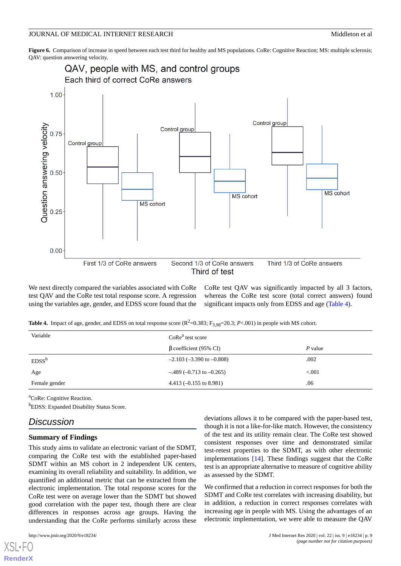<span id="page-8-0"></span>**Figure 6.** Comparison of increase in speed between each test third for healthy and MS populations. CoRe: Cognitive Reaction; MS: multiple sclerosis; QAV: question answering velocity.



<span id="page-8-1"></span>We next directly compared the variables associated with CoRe test QAV and the CoRe test total response score. A regression using the variables age, gender, and EDSS score found that the

CoRe test QAV was significantly impacted by all 3 factors, whereas the CoRe test score (total correct answers) found significant impacts only from EDSS and age ([Table 4](#page-8-1)).

**Table 4.** Impact of age, gender, and EDSS on total response score  $(R^2=0.383; F_{3,98}=20.3; P<.001)$  in people with MS cohort.

| Variable      | $CoRea$ test score                |           |
|---------------|-----------------------------------|-----------|
|               | $\beta$ coefficient (95% CI)      | $P$ value |
| $EDSS^b$      | $-2.103$ ( $-3.390$ to $-0.808$ ) | .002      |
| Age           | $-.489$ (-0.713 to -0.265)        | < 0.001   |
| Female gender | 4.413 $(-0.155$ to 8.981)         | .06       |
|               |                                   |           |

<sup>a</sup>CoRe: Cognitive Reaction.

**bEDSS:** Expanded Disability Status Score.

# *Discussion*

### **Summary of Findings**

This study aims to validate an electronic variant of the SDMT, comparing the CoRe test with the established paper-based SDMT within an MS cohort in 2 independent UK centers, examining its overall reliability and suitability. In addition, we quantified an additional metric that can be extracted from the electronic implementation. The total response scores for the CoRe test were on average lower than the SDMT but showed good correlation with the paper test, though there are clear differences in responses across age groups. Having the understanding that the CoRe performs similarly across these

[XSL](http://www.w3.org/Style/XSL)•FO **[RenderX](http://www.renderx.com/)**

deviations allows it to be compared with the paper-based test, though it is not a like-for-like match. However, the consistency of the test and its utility remain clear. The CoRe test showed consistent responses over time and demonstrated similar test-retest properties to the SDMT, as with other electronic implementations [[14\]](#page-11-13). These findings suggest that the CoRe test is an appropriate alternative to measure of cognitive ability as assessed by the SDMT.

We confirmed that a reduction in correct responses for both the SDMT and CoRe test correlates with increasing disability, but in addition, a reduction in correct responses correlates with increasing age in people with MS. Using the advantages of an electronic implementation, we were able to measure the QAV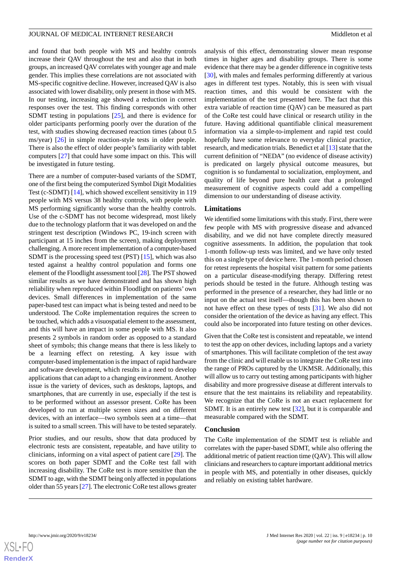and found that both people with MS and healthy controls increase their QAV throughout the test and also that in both groups, an increased QAV correlates with younger age and male gender. This implies these correlations are not associated with MS-specific cognitive decline. However, increased QAV is also associated with lower disability, only present in those with MS. In our testing, increasing age showed a reduction in correct responses over the test. This finding corresponds with other SDMT testing in populations [\[25](#page-12-4)], and there is evidence for older participants performing poorly over the duration of the test, with studies showing decreased reaction times (about 0.5 ms/year) [\[26](#page-12-5)] in simple reaction-style tests in older people. There is also the effect of older people's familiarity with tablet computers [\[27](#page-12-6)] that could have some impact on this. This will be investigated in future testing.

There are a number of computer-based variants of the SDMT, one of the first being the computerized Symbol Digit Modalities Test (c-SDMT) [[14\]](#page-11-13), which showed excellent sensitivity in 119 people with MS versus 38 healthy controls, with people with MS performing significantly worse than the healthy controls. Use of the c-SDMT has not become widespread, most likely due to the technology platform that it was developed on and the stringent test description (Windows PC, 19-inch screen with participant at 15 inches from the screen), making deployment challenging. A more recent implementation of a computer-based SDMT is the processing speed test (PST) [[15\]](#page-11-14), which was also tested against a healthy control population and forms one element of the Floodlight assessment tool [\[28](#page-12-7)]. The PST showed similar results as we have demonstrated and has shown high reliability when reproduced within Floodlight on patients' own devices. Small differences in implementation of the same paper-based test can impact what is being tested and need to be understood. The CoRe implementation requires the screen to be touched, which adds a visuospatial element to the assessment, and this will have an impact in some people with MS. It also presents 2 symbols in random order as opposed to a standard sheet of symbols; this change means that there is less likely to be a learning effect on retesting. A key issue with computer-based implementation is the impact of rapid hardware and software development, which results in a need to develop applications that can adapt to a changing environment. Another issue is the variety of devices, such as desktops, laptops, and smartphones, that are currently in use, especially if the test is to be performed without an assessor present. CoRe has been developed to run at multiple screen sizes and on different devices, with an interface—two symbols seen at a time—that is suited to a small screen. This will have to be tested separately.

Prior studies, and our results, show that data produced by electronic tests are consistent, repeatable, and have utility to clinicians, informing on a vital aspect of patient care [[29\]](#page-12-8). The scores on both paper SDMT and the CoRe test fall with increasing disability. The CoRe test is more sensitive than the SDMT to age, with the SDMT being only affected in populations older than 55 years [\[27](#page-12-6)]. The electronic CoRe test allows greater

analysis of this effect, demonstrating slower mean response times in higher ages and disability groups. There is some evidence that there may be a gender difference in cognitive tests [[30\]](#page-12-9), with males and females performing differently at various ages in different test types. Notably, this is seen with visual reaction times, and this would be consistent with the implementation of the test presented here. The fact that this extra variable of reaction time (QAV) can be measured as part of the CoRe test could have clinical or research utility in the future. Having additional quantifiable clinical measurement information via a simple-to-implement and rapid test could hopefully have some relevance to everyday clinical practice, research, and medication trials. Benedict et al [[13\]](#page-11-12) state that the current definition of "NEDA" (no evidence of disease activity) is predicated on largely physical outcome measures, but cognition is so fundamental to socialization, employment, and quality of life beyond pure health care that a prolonged measurement of cognitive aspects could add a compelling dimension to our understanding of disease activity.

#### **Limitations**

We identified some limitations with this study. First, there were few people with MS with progressive disease and advanced disability, and we did not have complete directly measured cognitive assessments. In addition, the population that took 1-month follow-up tests was limited, and we have only tested this on a single type of device here. The 1-month period chosen for retest represents the hospital visit pattern for some patients on a particular disease-modifying therapy. Differing retest periods should be tested in the future. Although testing was performed in the presence of a researcher, they had little or no input on the actual test itself—though this has been shown to not have effect on these types of tests [[31\]](#page-12-10). We also did not consider the orientation of the device as having any effect. This could also be incorporated into future testing on other devices.

Given that the CoRe test is consistent and repeatable, we intend to test the app on other devices, including laptops and a variety of smartphones. This will facilitate completion of the test away from the clinic and will enable us to integrate the CoRe test into the range of PROs captured by the UKMSR. Additionally, this will allow us to carry out testing among participants with higher disability and more progressive disease at different intervals to ensure that the test maintains its reliability and repeatability. We recognize that the CoRe is not an exact replacement for SDMT. It is an entirely new test [[32\]](#page-12-11), but it is comparable and measurable compared with the SDMT.

#### **Conclusion**

The CoRe implementation of the SDMT test is reliable and correlates with the paper-based SDMT, while also offering the additional metric of patient reaction time (QAV). This will allow clinicians and researchers to capture important additional metrics in people with MS, and potentially in other diseases, quickly and reliably on existing tablet hardware.

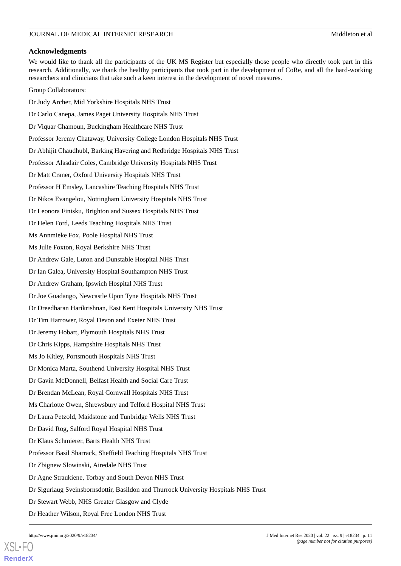### **Acknowledgments**

We would like to thank all the participants of the UK MS Register but especially those people who directly took part in this research. Additionally, we thank the healthy participants that took part in the development of CoRe, and all the hard-working researchers and clinicians that take such a keen interest in the development of novel measures.

Group Collaborators:

Dr Judy Archer, Mid Yorkshire Hospitals NHS Trust Dr Carlo Canepa, James Paget University Hospitals NHS Trust Dr Viquar Chamoun, Buckingham Healthcare NHS Trust Professor Jeremy Chataway, University College London Hospitals NHS Trust Dr Abhijit Chaudhubl, Barking Havering and Redbridge Hospitals NHS Trust Professor Alasdair Coles, Cambridge University Hospitals NHS Trust Dr Matt Craner, Oxford University Hospitals NHS Trust Professor H Emsley, Lancashire Teaching Hospitals NHS Trust Dr Nikos Evangelou, Nottingham University Hospitals NHS Trust Dr Leonora Finisku, Brighton and Sussex Hospitals NHS Trust Dr Helen Ford, Leeds Teaching Hospitals NHS Trust Ms Annmieke Fox, Poole Hospital NHS Trust Ms Julie Foxton, Royal Berkshire NHS Trust Dr Andrew Gale, Luton and Dunstable Hospital NHS Trust Dr Ian Galea, University Hospital Southampton NHS Trust Dr Andrew Graham, Ipswich Hospital NHS Trust Dr Joe Guadango, Newcastle Upon Tyne Hospitals NHS Trust Dr Dreedharan Harikrishnan, East Kent Hospitals University NHS Trust Dr Tim Harrower, Royal Devon and Exeter NHS Trust Dr Jeremy Hobart, Plymouth Hospitals NHS Trust Dr Chris Kipps, Hampshire Hospitals NHS Trust Ms Jo Kitley, Portsmouth Hospitals NHS Trust Dr Monica Marta, Southend University Hospital NHS Trust Dr Gavin McDonnell, Belfast Health and Social Care Trust Dr Brendan McLean, Royal Cornwall Hospitals NHS Trust Ms Charlotte Owen, Shrewsbury and Telford Hospital NHS Trust Dr Laura Petzold, Maidstone and Tunbridge Wells NHS Trust Dr David Rog, Salford Royal Hospital NHS Trust Dr Klaus Schmierer, Barts Health NHS Trust Professor Basil Sharrack, Sheffield Teaching Hospitals NHS Trust Dr Zbignew Slowinski, Airedale NHS Trust Dr Agne Straukiene, Torbay and South Devon NHS Trust Dr Sigurlaug Sveinsbornsdottir, Basildon and Thurrock University Hospitals NHS Trust Dr Stewart Webb, NHS Greater Glasgow and Clyde Dr Heather Wilson, Royal Free London NHS Trust

[XSL](http://www.w3.org/Style/XSL)•FO **[RenderX](http://www.renderx.com/)**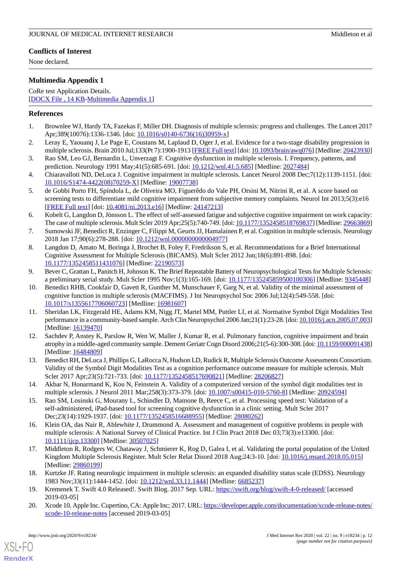# **Conflicts of Interest**

None declared.

# <span id="page-11-18"></span>**Multimedia Appendix 1**

CoRe test Application Details. [[DOCX File , 14 KB](https://jmir.org/api/download?alt_name=jmir_v22i9e18234_app1.docx&filename=030595e8a9fb79909621881beeb515ed.docx)-[Multimedia Appendix 1\]](https://jmir.org/api/download?alt_name=jmir_v22i9e18234_app1.docx&filename=030595e8a9fb79909621881beeb515ed.docx)

# <span id="page-11-0"></span>**References**

- <span id="page-11-1"></span>1. Brownlee WJ, Hardy TA, Fazekas F, Miller DH. Diagnosis of multiple sclerosis: progress and challenges. The Lancet 2017 Apr;389(10076):1336-1346. [doi: [10.1016/s0140-6736\(16\)30959-x](http://dx.doi.org/10.1016/s0140-6736(16)30959-x)]
- <span id="page-11-2"></span>2. Leray E, Yaouanq J, Le Page E, Coustans M, Laplaud D, Oger J, et al. Evidence for a two-stage disability progression in multiple sclerosis. Brain 2010 Jul;133(Pt 7):1900-1913 [\[FREE Full text\]](http://europepmc.org/abstract/MED/20423930) [doi: [10.1093/brain/awq076](http://dx.doi.org/10.1093/brain/awq076)] [Medline: [20423930](http://www.ncbi.nlm.nih.gov/entrez/query.fcgi?cmd=Retrieve&db=PubMed&list_uids=20423930&dopt=Abstract)]
- <span id="page-11-3"></span>3. Rao SM, Leo GJ, Bernardin L, Unverzagt F. Cognitive dysfunction in multiple sclerosis. I. Frequency, patterns, and prediction. Neurology 1991 May;41(5):685-691. [doi: [10.1212/wnl.41.5.685\]](http://dx.doi.org/10.1212/wnl.41.5.685) [Medline: [2027484\]](http://www.ncbi.nlm.nih.gov/entrez/query.fcgi?cmd=Retrieve&db=PubMed&list_uids=2027484&dopt=Abstract)
- <span id="page-11-4"></span>4. Chiaravalloti ND, DeLuca J. Cognitive impairment in multiple sclerosis. Lancet Neurol 2008 Dec;7(12):1139-1151. [doi: [10.1016/S1474-4422\(08\)70259-X\]](http://dx.doi.org/10.1016/S1474-4422(08)70259-X) [Medline: [19007738\]](http://www.ncbi.nlm.nih.gov/entrez/query.fcgi?cmd=Retrieve&db=PubMed&list_uids=19007738&dopt=Abstract)
- <span id="page-11-5"></span>5. de Gobbi Porto FH, Spíndola L, de Oliveira MO, Figuerêdo do Vale PH, Orsini M, Nitrini R, et al. A score based on screening tests to differentiate mild cognitive impairment from subjective memory complaints. Neurol Int 2013;5(3):e16 [[FREE Full text](http://europepmc.org/abstract/MED/24147213)] [doi: [10.4081/ni.2013.e16\]](http://dx.doi.org/10.4081/ni.2013.e16) [Medline: [24147213\]](http://www.ncbi.nlm.nih.gov/entrez/query.fcgi?cmd=Retrieve&db=PubMed&list_uids=24147213&dopt=Abstract)
- <span id="page-11-6"></span>6. Kobelt G, Langdon D, Jönsson L. The effect of self-assessed fatigue and subjective cognitive impairment on work capacity: The case of multiple sclerosis. Mult Scler 2019 Apr;25(5):740-749. [doi: [10.1177/1352458518769837](http://dx.doi.org/10.1177/1352458518769837)] [Medline: [29663869\]](http://www.ncbi.nlm.nih.gov/entrez/query.fcgi?cmd=Retrieve&db=PubMed&list_uids=29663869&dopt=Abstract)
- <span id="page-11-7"></span>7. Sumowski JF, Benedict R, Enzinger C, Filippi M, Geurts JJ, Hamalainen P, et al. Cognition in multiple sclerosis. Neurology 2018 Jan 17;90(6):278-288. [doi: [10.1212/wnl.0000000000004977\]](http://dx.doi.org/10.1212/wnl.0000000000004977)
- <span id="page-11-8"></span>8. Langdon D, Amato M, Boringa J, Brochet B, Foley F, Fredrikson S, et al. Recommendations for a Brief International Cognitive Assessment for Multiple Sclerosis (BICAMS). Mult Scler 2012 Jun;18(6):891-898. [doi: [10.1177/1352458511431076\]](http://dx.doi.org/10.1177/1352458511431076) [Medline: [22190573\]](http://www.ncbi.nlm.nih.gov/entrez/query.fcgi?cmd=Retrieve&db=PubMed&list_uids=22190573&dopt=Abstract)
- <span id="page-11-9"></span>9. Bever C, Grattan L, Panitch H, Johnson K. The Brief Repeatable Battery of Neuropsychological Tests for Multiple Sclerosis: a preliminary serial study. Mult Scler 1995 Nov;1(3):165-169. [doi: [10.1177/135245859500100306\]](http://dx.doi.org/10.1177/135245859500100306) [Medline: [9345448](http://www.ncbi.nlm.nih.gov/entrez/query.fcgi?cmd=Retrieve&db=PubMed&list_uids=9345448&dopt=Abstract)]
- <span id="page-11-10"></span>10. Benedict RHB, Cookfair D, Gavett R, Gunther M, Munschauer F, Garg N, et al. Validity of the minimal assessment of cognitive function in multiple sclerosis (MACFIMS). J Int Neuropsychol Soc 2006 Jul;12(4):549-558. [doi: [10.1017/s1355617706060723\]](http://dx.doi.org/10.1017/s1355617706060723) [Medline: [16981607\]](http://www.ncbi.nlm.nih.gov/entrez/query.fcgi?cmd=Retrieve&db=PubMed&list_uids=16981607&dopt=Abstract)
- <span id="page-11-11"></span>11. Sheridan LK, Fitzgerald HE, Adams KM, Nigg JT, Martel MM, Puttler LI, et al. Normative Symbol Digit Modalities Test performance in a community-based sample. Arch Clin Neuropsychol 2006 Jan;21(1):23-28. [doi: [10.1016/j.acn.2005.07.003\]](http://dx.doi.org/10.1016/j.acn.2005.07.003) [Medline: [16139470](http://www.ncbi.nlm.nih.gov/entrez/query.fcgi?cmd=Retrieve&db=PubMed&list_uids=16139470&dopt=Abstract)]
- <span id="page-11-13"></span><span id="page-11-12"></span>12. Sachdev P, Anstey K, Parslow R, Wen W, Maller J, Kumar R, et al. Pulmonary function, cognitive impairment and brain atrophy in a middle-aged community sample. Dement Geriatr Cogn Disord 2006;21(5-6):300-308. [doi: [10.1159/000091438\]](http://dx.doi.org/10.1159/000091438) [Medline: [16484809](http://www.ncbi.nlm.nih.gov/entrez/query.fcgi?cmd=Retrieve&db=PubMed&list_uids=16484809&dopt=Abstract)]
- <span id="page-11-14"></span>13. Benedict RH, DeLuca J, Phillips G, LaRocca N, Hudson LD, Rudick R, Multiple Sclerosis Outcome Assessments Consortium. Validity of the Symbol Digit Modalities Test as a cognition performance outcome measure for multiple sclerosis. Mult Scler 2017 Apr;23(5):721-733. [doi: [10.1177/1352458517690821\]](http://dx.doi.org/10.1177/1352458517690821) [Medline: [28206827\]](http://www.ncbi.nlm.nih.gov/entrez/query.fcgi?cmd=Retrieve&db=PubMed&list_uids=28206827&dopt=Abstract)
- <span id="page-11-15"></span>14. Akbar N, Honarmand K, Kou N, Feinstein A. Validity of a computerized version of the symbol digit modalities test in multiple sclerosis. J Neurol 2011 Mar;258(3):373-379. [doi: [10.1007/s00415-010-5760-8\]](http://dx.doi.org/10.1007/s00415-010-5760-8) [Medline: [20924594\]](http://www.ncbi.nlm.nih.gov/entrez/query.fcgi?cmd=Retrieve&db=PubMed&list_uids=20924594&dopt=Abstract)
- <span id="page-11-16"></span>15. Rao SM, Losinski G, Mourany L, Schindler D, Mamone B, Reece C, et al. Processing speed test: Validation of a self-administered, iPad-based tool for screening cognitive dysfunction in a clinic setting. Mult Scler 2017 Dec;23(14):1929-1937. [doi: [10.1177/1352458516688955\]](http://dx.doi.org/10.1177/1352458516688955) [Medline: [28080262\]](http://www.ncbi.nlm.nih.gov/entrez/query.fcgi?cmd=Retrieve&db=PubMed&list_uids=28080262&dopt=Abstract)
- <span id="page-11-17"></span>16. Klein OA, das Nair R, Ablewhite J, Drummond A. Assessment and management of cognitive problems in people with multiple sclerosis: A National Survey of Clinical Practice. Int J Clin Pract 2018 Dec 03;73(3):e13300. [doi: [10.1111/ijcp.13300](http://dx.doi.org/10.1111/ijcp.13300)] [Medline: [30507025](http://www.ncbi.nlm.nih.gov/entrez/query.fcgi?cmd=Retrieve&db=PubMed&list_uids=30507025&dopt=Abstract)]
- <span id="page-11-20"></span><span id="page-11-19"></span>17. Middleton R, Rodgers W, Chataway J, Schmierer K, Rog D, Galea I, et al. Validating the portal population of the United Kingdom Multiple Sclerosis Register. Mult Scler Relat Disord 2018 Aug;24:3-10. [doi: [10.1016/j.msard.2018.05.015\]](http://dx.doi.org/10.1016/j.msard.2018.05.015) [Medline: [29860199](http://www.ncbi.nlm.nih.gov/entrez/query.fcgi?cmd=Retrieve&db=PubMed&list_uids=29860199&dopt=Abstract)]
- 18. Kurtzke JF. Rating neurologic impairment in multiple sclerosis: an expanded disability status scale (EDSS). Neurology 1983 Nov;33(11):1444-1452. [doi: [10.1212/wnl.33.11.1444\]](http://dx.doi.org/10.1212/wnl.33.11.1444) [Medline: [6685237\]](http://www.ncbi.nlm.nih.gov/entrez/query.fcgi?cmd=Retrieve&db=PubMed&list_uids=6685237&dopt=Abstract)
- 19. Kremenek T. Swift 4.0 Released!. Swift Blog. 2017 Sep. URL:<https://swift.org/blog/swift-4-0-released/> [accessed 2019-03-05]
- 20. Xcode 10. Apple Inc. Cupertino, CA: Apple Inc; 2017. URL: [https://developer.apple.com/documentation/xcode-release-notes/](https://developer.apple.com/documentation/xcode-release-notes/xcode-10-release-notes) [xcode-10-release-notes](https://developer.apple.com/documentation/xcode-release-notes/xcode-10-release-notes) [accessed 2019-03-05]

[XSL](http://www.w3.org/Style/XSL)•FO **[RenderX](http://www.renderx.com/)**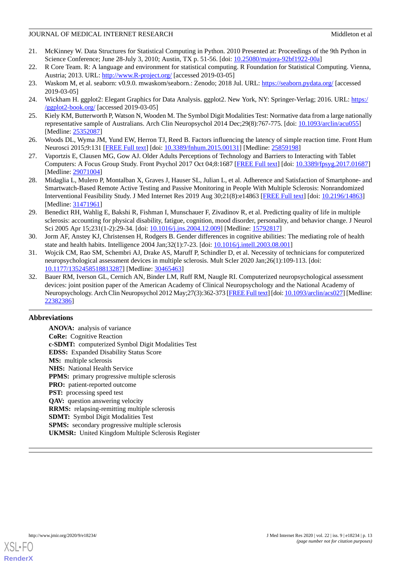- <span id="page-12-0"></span>21. McKinney W. Data Structures for Statistical Computing in Python. 2010 Presented at: Proceedings of the 9th Python in Science Conference; June 28-July 3, 2010; Austin, TX p. 51-56. [doi: [10.25080/majora-92bf1922-00a\]](http://dx.doi.org/10.25080/majora-92bf1922-00a)
- <span id="page-12-2"></span><span id="page-12-1"></span>22. R Core Team. R: A language and environment for statistical computing. R Foundation for Statistical Computing. Vienna, Austria; 2013. URL: <http://www.R-project.org/> [accessed 2019-03-05]
- <span id="page-12-3"></span>23. Waskom M, et al. seaborn: v0.9.0. mwaskom/seaborn.: Zenodo; 2018 Jul. URL: <https://seaborn.pydata.org/> [accessed 2019-03-05]
- <span id="page-12-4"></span>24. Wickham H. ggplot2: Elegant Graphics for Data Analysis. ggplot2. New York, NY: Springer-Verlag; 2016. URL: [https:/](https://ggplot2-book.org/) [/ggplot2-book.org/](https://ggplot2-book.org/) [accessed 2019-03-05]
- <span id="page-12-5"></span>25. Kiely KM, Butterworth P, Watson N, Wooden M. The Symbol Digit Modalities Test: Normative data from a large nationally representative sample of Australians. Arch Clin Neuropsychol 2014 Dec;29(8):767-775. [doi: [10.1093/arclin/acu055\]](http://dx.doi.org/10.1093/arclin/acu055) [Medline: [25352087](http://www.ncbi.nlm.nih.gov/entrez/query.fcgi?cmd=Retrieve&db=PubMed&list_uids=25352087&dopt=Abstract)]
- <span id="page-12-6"></span>26. Woods DL, Wyma JM, Yund EW, Herron TJ, Reed B. Factors influencing the latency of simple reaction time. Front Hum Neurosci 2015;9:131 [\[FREE Full text\]](https://doi.org/10.3389/fnhum.2015.00131) [doi: [10.3389/fnhum.2015.00131\]](http://dx.doi.org/10.3389/fnhum.2015.00131) [Medline: [25859198](http://www.ncbi.nlm.nih.gov/entrez/query.fcgi?cmd=Retrieve&db=PubMed&list_uids=25859198&dopt=Abstract)]
- <span id="page-12-7"></span>27. Vaportzis E, Clausen MG, Gow AJ. Older Adults Perceptions of Technology and Barriers to Interacting with Tablet Computers: A Focus Group Study. Front Psychol 2017 Oct 04;8:1687 [[FREE Full text\]](https://dx.doi.org/10.3389/fpsyg.2017.01687) [doi: [10.3389/fpsyg.2017.01687\]](http://dx.doi.org/10.3389/fpsyg.2017.01687) [Medline: [29071004](http://www.ncbi.nlm.nih.gov/entrez/query.fcgi?cmd=Retrieve&db=PubMed&list_uids=29071004&dopt=Abstract)]
- <span id="page-12-8"></span>28. Midaglia L, Mulero P, Montalban X, Graves J, Hauser SL, Julian L, et al. Adherence and Satisfaction of Smartphone- and Smartwatch-Based Remote Active Testing and Passive Monitoring in People With Multiple Sclerosis: Nonrandomized Interventional Feasibility Study. J Med Internet Res 2019 Aug 30;21(8):e14863 [\[FREE Full text\]](https://www.jmir.org/2019/8/e14863/) [doi: [10.2196/14863](http://dx.doi.org/10.2196/14863)] [Medline: [31471961](http://www.ncbi.nlm.nih.gov/entrez/query.fcgi?cmd=Retrieve&db=PubMed&list_uids=31471961&dopt=Abstract)]
- <span id="page-12-9"></span>29. Benedict RH, Wahlig E, Bakshi R, Fishman I, Munschauer F, Zivadinov R, et al. Predicting quality of life in multiple sclerosis: accounting for physical disability, fatigue, cognition, mood disorder, personality, and behavior change. J Neurol Sci 2005 Apr 15;231(1-2):29-34. [doi: [10.1016/j.jns.2004.12.009](http://dx.doi.org/10.1016/j.jns.2004.12.009)] [Medline: [15792817](http://www.ncbi.nlm.nih.gov/entrez/query.fcgi?cmd=Retrieve&db=PubMed&list_uids=15792817&dopt=Abstract)]
- <span id="page-12-10"></span>30. Jorm AF, Anstey KJ, Christensen H, Rodgers B. Gender differences in cognitive abilities: The mediating role of health state and health habits. Intelligence 2004 Jan;32(1):7-23. [doi: [10.1016/j.intell.2003.08.001](http://dx.doi.org/10.1016/j.intell.2003.08.001)]
- <span id="page-12-11"></span>31. Wojcik CM, Rao SM, Schembri AJ, Drake AS, Maruff P, Schindler D, et al. Necessity of technicians for computerized neuropsychological assessment devices in multiple sclerosis. Mult Scler 2020 Jan;26(1):109-113. [doi: [10.1177/1352458518813287\]](http://dx.doi.org/10.1177/1352458518813287) [Medline: [30465463\]](http://www.ncbi.nlm.nih.gov/entrez/query.fcgi?cmd=Retrieve&db=PubMed&list_uids=30465463&dopt=Abstract)
- 32. Bauer RM, Iverson GL, Cernich AN, Binder LM, Ruff RM, Naugle RI. Computerized neuropsychological assessment devices: joint position paper of the American Academy of Clinical Neuropsychology and the National Academy of Neuropsychology. Arch Clin Neuropsychol 2012 May;27(3):362-373 [[FREE Full text\]](http://europepmc.org/abstract/MED/22382386) [doi: [10.1093/arclin/acs027](http://dx.doi.org/10.1093/arclin/acs027)] [Medline: [22382386](http://www.ncbi.nlm.nih.gov/entrez/query.fcgi?cmd=Retrieve&db=PubMed&list_uids=22382386&dopt=Abstract)]

# **Abbreviations**

**ANOVA:** analysis of variance **CoRe:** Cognitive Reaction **c-SDMT:** computerized Symbol Digit Modalities Test **EDSS:** Expanded Disability Status Score **MS:** multiple sclerosis **NHS:** National Health Service **PPMS:** primary progressive multiple sclerosis **PRO:** patient-reported outcome **PST:** processing speed test **QAV:** question answering velocity **RRMS:** relapsing-remitting multiple sclerosis **SDMT:** Symbol Digit Modalities Test **SPMS:** secondary progressive multiple sclerosis **UKMSR:** United Kingdom Multiple Sclerosis Register